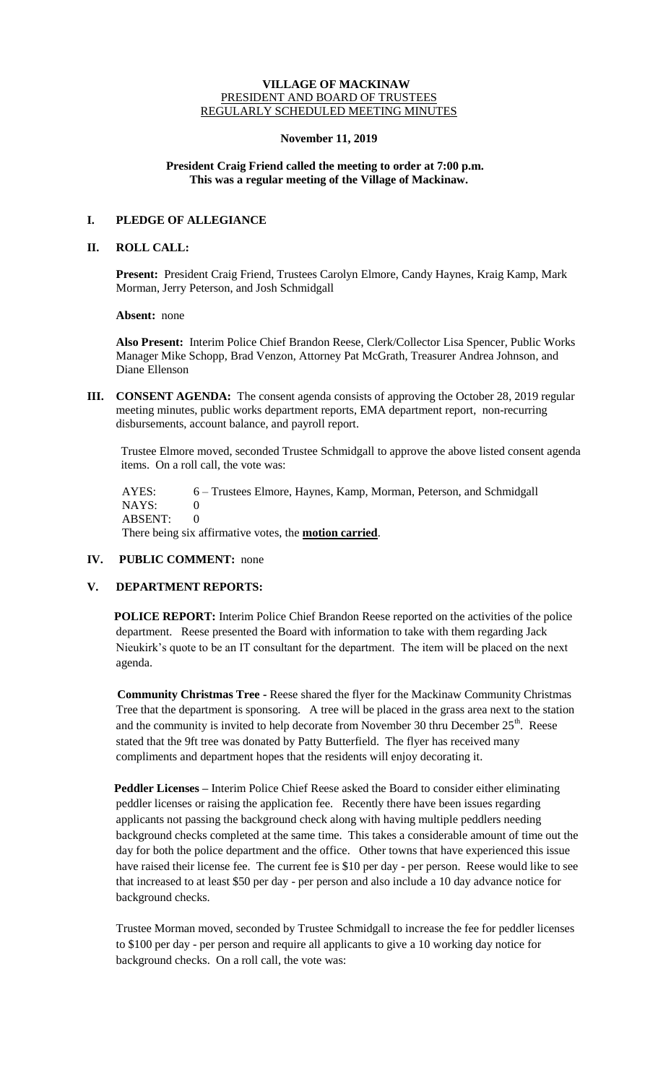#### **VILLAGE OF MACKINAW** PRESIDENT AND BOARD OF TRUSTEES REGULARLY SCHEDULED MEETING MINUTES

#### **November 11, 2019**

## **President Craig Friend called the meeting to order at 7:00 p.m. This was a regular meeting of the Village of Mackinaw.**

# **I. PLEDGE OF ALLEGIANCE**

#### **II. ROLL CALL:**

**Present:** President Craig Friend, Trustees Carolyn Elmore, Candy Haynes, Kraig Kamp, Mark Morman, Jerry Peterson, and Josh Schmidgall

**Absent:** none

**Also Present:** Interim Police Chief Brandon Reese, Clerk/Collector Lisa Spencer, Public Works Manager Mike Schopp, Brad Venzon, Attorney Pat McGrath, Treasurer Andrea Johnson, and Diane Ellenson

**III. CONSENT AGENDA:** The consent agenda consists of approving the October 28, 2019 regular meeting minutes, public works department reports, EMA department report, non-recurring disbursements, account balance, and payroll report.

Trustee Elmore moved, seconded Trustee Schmidgall to approve the above listed consent agenda items. On a roll call, the vote was:

 AYES: 6 – Trustees Elmore, Haynes, Kamp, Morman, Peterson, and Schmidgall NAYS: 0 ABSENT: 0 There being six affirmative votes, the **motion carried**.

## **IV. PUBLIC COMMENT:** none

# **V. DEPARTMENT REPORTS:**

**POLICE REPORT:** Interim Police Chief Brandon Reese reported on the activities of the police department. Reese presented the Board with information to take with them regarding Jack Nieukirk's quote to be an IT consultant for the department. The item will be placed on the next agenda.

 **Community Christmas Tree -** Reese shared the flyer for the Mackinaw Community Christmas Tree that the department is sponsoring. A tree will be placed in the grass area next to the station and the community is invited to help decorate from November 30 thru December  $25<sup>th</sup>$ . Reese stated that the 9ft tree was donated by Patty Butterfield. The flyer has received many compliments and department hopes that the residents will enjoy decorating it.

**Peddler Licenses –** Interim Police Chief Reese asked the Board to consider either eliminating peddler licenses or raising the application fee. Recently there have been issues regarding applicants not passing the background check along with having multiple peddlers needing background checks completed at the same time. This takes a considerable amount of time out the day for both the police department and the office. Other towns that have experienced this issue have raised their license fee. The current fee is \$10 per day - per person. Reese would like to see that increased to at least \$50 per day - per person and also include a 10 day advance notice for background checks.

Trustee Morman moved, seconded by Trustee Schmidgall to increase the fee for peddler licenses to \$100 per day - per person and require all applicants to give a 10 working day notice for background checks. On a roll call, the vote was: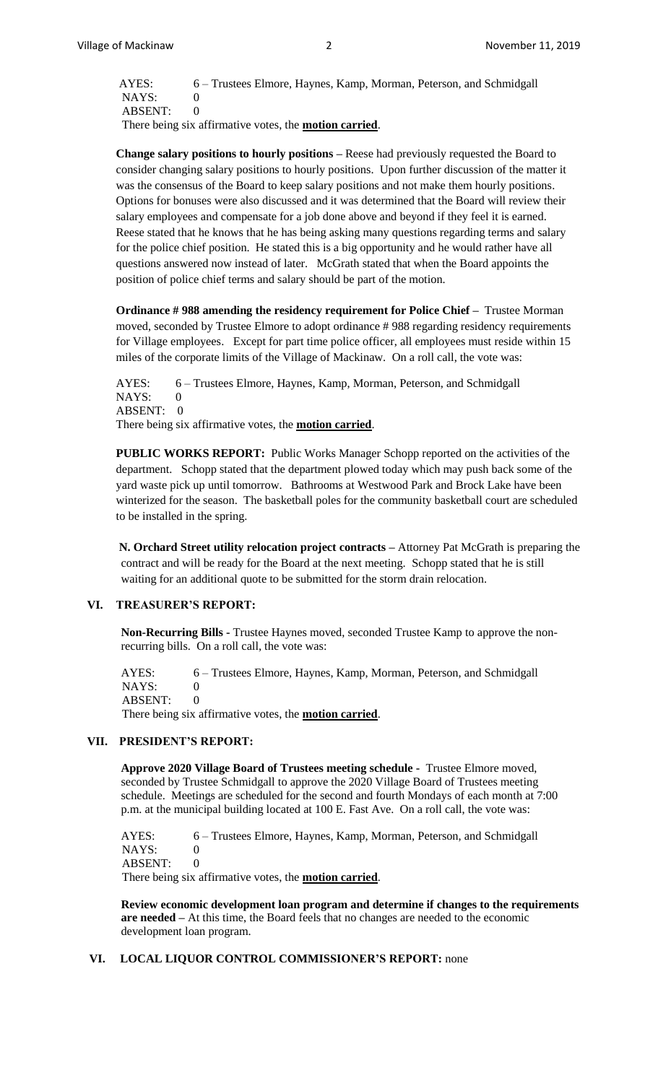AYES: 6 – Trustees Elmore, Haynes, Kamp, Morman, Peterson, and Schmidgall NAYS: 0 ABSENT: 0 There being six affirmative votes, the **motion carried**.

**Change salary positions to hourly positions –** Reese had previously requested the Board to consider changing salary positions to hourly positions. Upon further discussion of the matter it was the consensus of the Board to keep salary positions and not make them hourly positions. Options for bonuses were also discussed and it was determined that the Board will review their salary employees and compensate for a job done above and beyond if they feel it is earned. Reese stated that he knows that he has being asking many questions regarding terms and salary for the police chief position. He stated this is a big opportunity and he would rather have all questions answered now instead of later. McGrath stated that when the Board appoints the position of police chief terms and salary should be part of the motion.

**Ordinance # 988 amending the residency requirement for Police Chief –** Trustee Morman moved, seconded by Trustee Elmore to adopt ordinance # 988 regarding residency requirements for Village employees. Except for part time police officer, all employees must reside within 15 miles of the corporate limits of the Village of Mackinaw. On a roll call, the vote was:

AYES: 6 – Trustees Elmore, Haynes, Kamp, Morman, Peterson, and Schmidgall NAYS: 0 ABSENT: 0 There being six affirmative votes, the **motion carried**.

**PUBLIC WORKS REPORT:** Public Works Manager Schopp reported on the activities of the department. Schopp stated that the department plowed today which may push back some of the yard waste pick up until tomorrow. Bathrooms at Westwood Park and Brock Lake have been winterized for the season. The basketball poles for the community basketball court are scheduled to be installed in the spring.

**N. Orchard Street utility relocation project contracts –** Attorney Pat McGrath is preparing the contract and will be ready for the Board at the next meeting. Schopp stated that he is still waiting for an additional quote to be submitted for the storm drain relocation.

## **VI. TREASURER'S REPORT:**

**Non-Recurring Bills -** Trustee Haynes moved, seconded Trustee Kamp to approve the nonrecurring bills. On a roll call, the vote was:

AYES: 6 – Trustees Elmore, Haynes, Kamp, Morman, Peterson, and Schmidgall NAYS: 0 ABSENT: 0

There being six affirmative votes, the **motion carried**.

# **VII. PRESIDENT'S REPORT:**

**Approve 2020 Village Board of Trustees meeting schedule -** Trustee Elmore moved, seconded by Trustee Schmidgall to approve the 2020 Village Board of Trustees meeting schedule. Meetings are scheduled for the second and fourth Mondays of each month at 7:00 p.m. at the municipal building located at 100 E. Fast Ave. On a roll call, the vote was:

AYES: 6 – Trustees Elmore, Haynes, Kamp, Morman, Peterson, and Schmidgall  $NAYS: 0$ ABSENT: 0 There being six affirmative votes, the **motion carried**.

**Review economic development loan program and determine if changes to the requirements are needed –** At this time, the Board feels that no changes are needed to the economic development loan program.

#### **VI. LOCAL LIQUOR CONTROL COMMISSIONER'S REPORT:** none